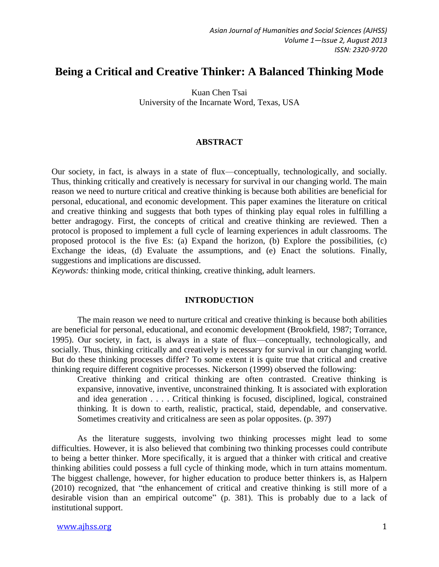# **Being a Critical and Creative Thinker: A Balanced Thinking Mode**

Kuan Chen Tsai University of the Incarnate Word, Texas, USA

#### **ABSTRACT**

Our society, in fact, is always in a state of flux—conceptually, technologically, and socially. Thus, thinking critically and creatively is necessary for survival in our changing world. The main reason we need to nurture critical and creative thinking is because both abilities are beneficial for personal, educational, and economic development. This paper examines the literature on critical and creative thinking and suggests that both types of thinking play equal roles in fulfilling a better andragogy. First, the concepts of critical and creative thinking are reviewed. Then a protocol is proposed to implement a full cycle of learning experiences in adult classrooms. The proposed protocol is the five Es: (a) Expand the horizon, (b) Explore the possibilities, (c) Exchange the ideas, (d) Evaluate the assumptions, and (e) Enact the solutions. Finally, suggestions and implications are discussed.

*Keywords:* thinking mode, critical thinking, creative thinking, adult learners.

#### **INTRODUCTION**

The main reason we need to nurture critical and creative thinking is because both abilities are beneficial for personal, educational, and economic development (Brookfield, 1987; Torrance, 1995). Our society, in fact, is always in a state of flux—conceptually, technologically, and socially. Thus, thinking critically and creatively is necessary for survival in our changing world. But do these thinking processes differ? To some extent it is quite true that critical and creative thinking require different cognitive processes. Nickerson (1999) observed the following:

Creative thinking and critical thinking are often contrasted. Creative thinking is expansive, innovative, inventive, unconstrained thinking. It is associated with exploration and idea generation . . . . Critical thinking is focused, disciplined, logical, constrained thinking. It is down to earth, realistic, practical, staid, dependable, and conservative. Sometimes creativity and criticalness are seen as polar opposites. (p. 397)

As the literature suggests, involving two thinking processes might lead to some difficulties. However, it is also believed that combining two thinking processes could contribute to being a better thinker. More specifically, it is argued that a thinker with critical and creative thinking abilities could possess a full cycle of thinking mode, which in turn attains momentum. The biggest challenge, however, for higher education to produce better thinkers is, as Halpern (2010) recognized, that "the enhancement of critical and creative thinking is still more of a desirable vision than an empirical outcome" (p. 381). This is probably due to a lack of institutional support.

#### www.ajhss.org 1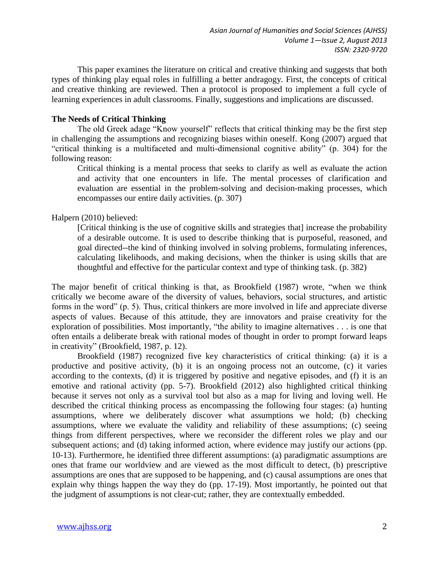This paper examines the literature on critical and creative thinking and suggests that both types of thinking play equal roles in fulfilling a better andragogy. First, the concepts of critical and creative thinking are reviewed. Then a protocol is proposed to implement a full cycle of learning experiences in adult classrooms. Finally, suggestions and implications are discussed.

## **The Needs of Critical Thinking**

The old Greek adage "Know yourself" reflects that critical thinking may be the first step in challenging the assumptions and recognizing biases within oneself. Kong (2007) argued that "critical thinking is a multifaceted and multi-dimensional cognitive ability" (p. 304) for the following reason:

Critical thinking is a mental process that seeks to clarify as well as evaluate the action and activity that one encounters in life. The mental processes of clarification and evaluation are essential in the problem-solving and decision-making processes, which encompasses our entire daily activities. (p. 307)

# Halpern (2010) believed:

[Critical thinking is the use of cognitive skills and strategies that] increase the probability of a desirable outcome. It is used to describe thinking that is purposeful, reasoned, and goal directed--the kind of thinking involved in solving problems, formulating inferences, calculating likelihoods, and making decisions, when the thinker is using skills that are thoughtful and effective for the particular context and type of thinking task. (p. 382)

The major benefit of critical thinking is that, as Brookfield (1987) wrote, "when we think critically we become aware of the diversity of values, behaviors, social structures, and artistic forms in the word" (p. 5). Thus, critical thinkers are more involved in life and appreciate diverse aspects of values. Because of this attitude, they are innovators and praise creativity for the exploration of possibilities. Most importantly, "the ability to imagine alternatives . . . is one that often entails a deliberate break with rational modes of thought in order to prompt forward leaps in creativity" (Brookfield, 1987, p. 12).

Brookfield (1987) recognized five key characteristics of critical thinking: (a) it is a productive and positive activity, (b) it is an ongoing process not an outcome, (c) it varies according to the contexts, (d) it is triggered by positive and negative episodes, and (f) it is an emotive and rational activity (pp. 5-7). Brookfield (2012) also highlighted critical thinking because it serves not only as a survival tool but also as a map for living and loving well. He described the critical thinking process as encompassing the following four stages: (a) hunting assumptions, where we deliberately discover what assumptions we hold; (b) checking assumptions, where we evaluate the validity and reliability of these assumptions; (c) seeing things from different perspectives, where we reconsider the different roles we play and our subsequent actions; and (d) taking informed action, where evidence may justify our actions (pp. 10-13). Furthermore, he identified three different assumptions: (a) paradigmatic assumptions are ones that frame our worldview and are viewed as the most difficult to detect, (b) prescriptive assumptions are ones that are supposed to be happening, and (c) causal assumptions are ones that explain why things happen the way they do (pp. 17-19). Most importantly, he pointed out that the judgment of assumptions is not clear-cut; rather, they are contextually embedded.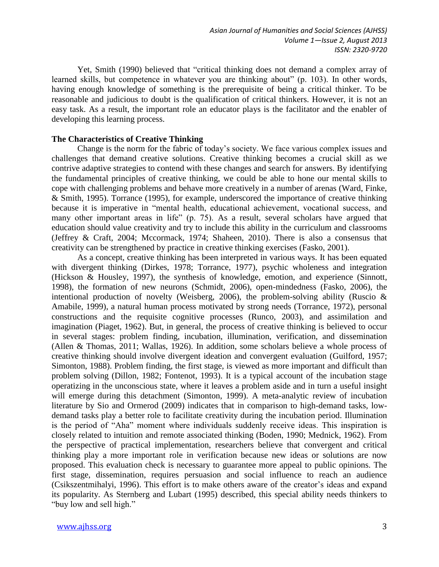Yet, Smith (1990) believed that "critical thinking does not demand a complex array of learned skills, but competence in whatever you are thinking about" (p. 103). In other words, having enough knowledge of something is the prerequisite of being a critical thinker. To be reasonable and judicious to doubt is the qualification of critical thinkers. However, it is not an easy task. As a result, the important role an educator plays is the facilitator and the enabler of developing this learning process.

## **The Characteristics of Creative Thinking**

Change is the norm for the fabric of today's society. We face various complex issues and challenges that demand creative solutions. Creative thinking becomes a crucial skill as we contrive adaptive strategies to contend with these changes and search for answers. By identifying the fundamental principles of creative thinking, we could be able to hone our mental skills to cope with challenging problems and behave more creatively in a number of arenas (Ward, Finke, & Smith, 1995). Torrance (1995), for example, underscored the importance of creative thinking because it is imperative in "mental health, educational achievement, vocational success, and many other important areas in life" (p. 75). As a result, several scholars have argued that education should value creativity and try to include this ability in the curriculum and classrooms (Jeffrey & Craft, 2004; Mccormack, 1974; Shaheen, 2010). There is also a consensus that creativity can be strengthened by practice in creative thinking exercises (Fasko, 2001).

As a concept, creative thinking has been interpreted in various ways. It has been equated with divergent thinking (Dirkes, 1978; Torrance, 1977), psychic wholeness and integration (Hickson & Housley, 1997), the synthesis of knowledge, emotion, and experience (Sinnott, 1998), the formation of new neurons (Schmidt, 2006), open-mindedness (Fasko, 2006), the intentional production of novelty (Weisberg, 2006), the problem-solving ability (Ruscio & Amabile, 1999), a natural human process motivated by strong needs (Torrance, 1972), personal constructions and the requisite cognitive processes (Runco, 2003), and assimilation and imagination (Piaget, 1962). But, in general, the process of creative thinking is believed to occur in several stages: problem finding, incubation, illumination, verification, and dissemination (Allen & Thomas, 2011; Wallas, 1926). In addition, some scholars believe a whole process of creative thinking should involve divergent ideation and convergent evaluation (Guilford, 1957; Simonton, 1988). Problem finding, the first stage, is viewed as more important and difficult than problem solving (Dillon, 1982; Fontenot, 1993). It is a typical account of the incubation stage operatizing in the unconscious state, where it leaves a problem aside and in turn a useful insight will emerge during this detachment (Simonton, 1999). A meta-analytic review of incubation literature by Sio and Ormerod (2009) indicates that in comparison to high-demand tasks, lowdemand tasks play a better role to facilitate creativity during the incubation period. Illumination is the period of "Aha" moment where individuals suddenly receive ideas. This inspiration is closely related to intuition and remote associated thinking (Boden, 1990; Mednick, 1962). From the perspective of practical implementation, researchers believe that convergent and critical thinking play a more important role in verification because new ideas or solutions are now proposed. This evaluation check is necessary to guarantee more appeal to public opinions. The first stage, dissemination, requires persuasion and social influence to reach an audience (Csikszentmihalyi, 1996). This effort is to make others aware of the creator's ideas and expand its popularity. As Sternberg and Lubart (1995) described, this special ability needs thinkers to "buy low and sell high."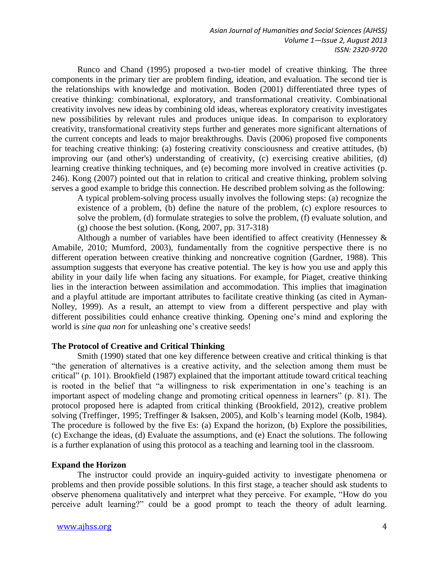Runco and Chand (1995) proposed a two-tier model of creative thinking. The three components in the primary tier are problem finding, ideation, and evaluation. The second tier is the relationships with knowledge and motivation. Boden (2001) differentiated three types of creative thinking: combinational, exploratory, and transformational creativity. Combinational creativity involves new ideas by combining old ideas, whereas exploratory creativity investigates new possibilities by relevant rules and produces unique ideas. In comparison to exploratory creativity, transformational creativity steps further and generates more significant alternations of the current concepts and leads to major breakthroughs. Davis (2006) proposed five components for teaching creative thinking: (a) fostering creativity consciousness and creative attitudes, (b) improving our (and other's) understanding of creativity, (c) exercising creative abilities, (d) learning creative thinking techniques, and (e) becoming more involved in creative activities (p. 246). Kong (2007) pointed out that in relation to critical and creative thinking, problem solving serves a good example to bridge this connection. He described problem solving as the following:

A typical problem-solving process usually involves the following steps: (a) recognize the existence of a problem, (b) define the nature of the problem, (c) explore resources to solve the problem, (d) formulate strategies to solve the problem, (f) evaluate solution, and  $(g)$  choose the best solution. (Kong, 2007, pp. 317-318)

Although a number of variables have been identified to affect creativity (Hennessey & Amabile, 2010; Mumford, 2003), fundamentally from the cognitive perspective there is no different operation between creative thinking and noncreative cognition (Gardner, 1988). This assumption suggests that everyone has creative potential. The key is how you use and apply this ability in your daily life when facing any situations. For example, for Piaget, creative thinking lies in the interaction between assimilation and accommodation. This implies that imagination and a playful attitude are important attributes to facilitate creative thinking (as cited in Ayman-Nolley, 1999). As a result, an attempt to view from a different perspective and play with different possibilities could enhance creative thinking. Opening one's mind and exploring the world is *sine qua non* for unleashing one's creative seeds!

## **The Protocol of Creative and Critical Thinking**

Smith (1990) stated that one key difference between creative and critical thinking is that "the generation of alternatives is a creative activity, and the selection among them must be critical" (p. 101). Brookfield (1987) explained that the important attitude toward critical teaching is rooted in the belief that "a willingness to risk experimentation in one's teaching is an important aspect of modeling change and promoting critical openness in learners" (p. 81). The protocol proposed here is adapted from critical thinking (Brookfield, 2012), creative problem solving (Treffinger, 1995; Treffinger & Isaksen, 2005), and Kolb's learning model (Kolb, 1984). The procedure is followed by the five Es: (a) Expand the horizon, (b) Explore the possibilities, (c) Exchange the ideas, (d) Evaluate the assumptions, and (e) Enact the solutions. The following is a further explanation of using this protocol as a teaching and learning tool in the classroom.

#### **Expand the Horizon**

The instructor could provide an inquiry-guided activity to investigate phenomena or problems and then provide possible solutions. In this first stage, a teacher should ask students to observe phenomena qualitatively and interpret what they perceive. For example, "How do you perceive adult learning?" could be a good prompt to teach the theory of adult learning.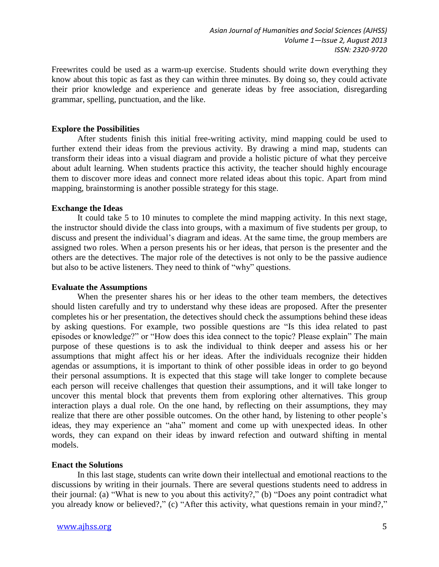Freewrites could be used as a warm-up exercise. Students should write down everything they know about this topic as fast as they can within three minutes. By doing so, they could activate their prior knowledge and experience and generate ideas by free association, disregarding grammar, spelling, punctuation, and the like.

## **Explore the Possibilities**

After students finish this initial free-writing activity, mind mapping could be used to further extend their ideas from the previous activity. By drawing a mind map, students can transform their ideas into a visual diagram and provide a holistic picture of what they perceive about adult learning. When students practice this activity, the teacher should highly encourage them to discover more ideas and connect more related ideas about this topic. Apart from mind mapping, brainstorming is another possible strategy for this stage.

## **Exchange the Ideas**

It could take 5 to 10 minutes to complete the mind mapping activity. In this next stage, the instructor should divide the class into groups, with a maximum of five students per group, to discuss and present the individual's diagram and ideas. At the same time, the group members are assigned two roles. When a person presents his or her ideas, that person is the presenter and the others are the detectives. The major role of the detectives is not only to be the passive audience but also to be active listeners. They need to think of "why" questions.

## **Evaluate the Assumptions**

When the presenter shares his or her ideas to the other team members, the detectives should listen carefully and try to understand why these ideas are proposed. After the presenter completes his or her presentation, the detectives should check the assumptions behind these ideas by asking questions. For example, two possible questions are "Is this idea related to past episodes or knowledge?" or "How does this idea connect to the topic? Please explain" The main purpose of these questions is to ask the individual to think deeper and assess his or her assumptions that might affect his or her ideas. After the individuals recognize their hidden agendas or assumptions, it is important to think of other possible ideas in order to go beyond their personal assumptions. It is expected that this stage will take longer to complete because each person will receive challenges that question their assumptions, and it will take longer to uncover this mental block that prevents them from exploring other alternatives. This group interaction plays a dual role. On the one hand, by reflecting on their assumptions, they may realize that there are other possible outcomes. On the other hand, by listening to other people's ideas, they may experience an "aha" moment and come up with unexpected ideas. In other words, they can expand on their ideas by inward refection and outward shifting in mental models.

# **Enact the Solutions**

In this last stage, students can write down their intellectual and emotional reactions to the discussions by writing in their journals. There are several questions students need to address in their journal: (a) "What is new to you about this activity?," (b) "Does any point contradict what you already know or believed?," (c) "After this activity, what questions remain in your mind?,"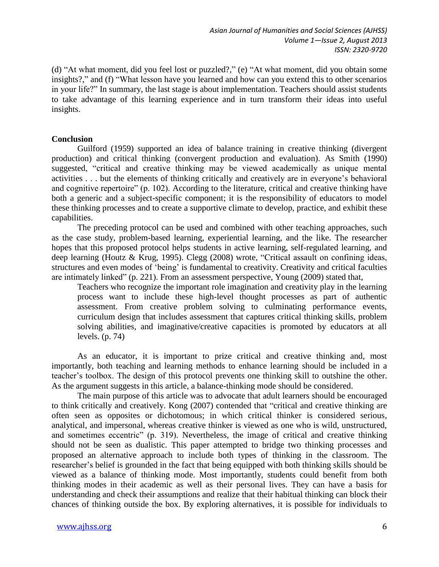(d) "At what moment, did you feel lost or puzzled?," (e) "At what moment, did you obtain some insights?," and (f) "What lesson have you learned and how can you extend this to other scenarios in your life?" In summary, the last stage is about implementation. Teachers should assist students to take advantage of this learning experience and in turn transform their ideas into useful insights.

## **Conclusion**

Guilford (1959) supported an idea of balance training in creative thinking (divergent production) and critical thinking (convergent production and evaluation). As Smith (1990) suggested, "critical and creative thinking may be viewed academically as unique mental activities . . . but the elements of thinking critically and creatively are in everyone's behavioral and cognitive repertoire" (p. 102). According to the literature, critical and creative thinking have both a generic and a subject-specific component; it is the responsibility of educators to model these thinking processes and to create a supportive climate to develop, practice, and exhibit these capabilities.

The preceding protocol can be used and combined with other teaching approaches, such as the case study, problem-based learning, experiential learning, and the like. The researcher hopes that this proposed protocol helps students in active learning, self-regulated learning, and deep learning (Houtz & Krug, 1995). Clegg (2008) wrote, "Critical assault on confining ideas, structures and even modes of 'being' is fundamental to creativity. Creativity and critical faculties are intimately linked" (p. 221). From an assessment perspective, Young (2009) stated that,

Teachers who recognize the important role imagination and creativity play in the learning process want to include these high-level thought processes as part of authentic assessment. From creative problem solving to culminating performance events, curriculum design that includes assessment that captures critical thinking skills, problem solving abilities, and imaginative/creative capacities is promoted by educators at all levels. (p. 74)

As an educator, it is important to prize critical and creative thinking and, most importantly, both teaching and learning methods to enhance learning should be included in a teacher's toolbox. The design of this protocol prevents one thinking skill to outshine the other. As the argument suggests in this article, a balance-thinking mode should be considered.

The main purpose of this article was to advocate that adult learners should be encouraged to think critically and creatively. Kong (2007) contended that "critical and creative thinking are often seen as opposites or dichotomous; in which critical thinker is considered serious, analytical, and impersonal, whereas creative thinker is viewed as one who is wild, unstructured, and sometimes eccentric" (p. 319). Nevertheless, the image of critical and creative thinking should not be seen as dualistic. This paper attempted to bridge two thinking processes and proposed an alternative approach to include both types of thinking in the classroom. The researcher's belief is grounded in the fact that being equipped with both thinking skills should be viewed as a balance of thinking mode. Most importantly, students could benefit from both thinking modes in their academic as well as their personal lives. They can have a basis for understanding and check their assumptions and realize that their habitual thinking can block their chances of thinking outside the box. By exploring alternatives, it is possible for individuals to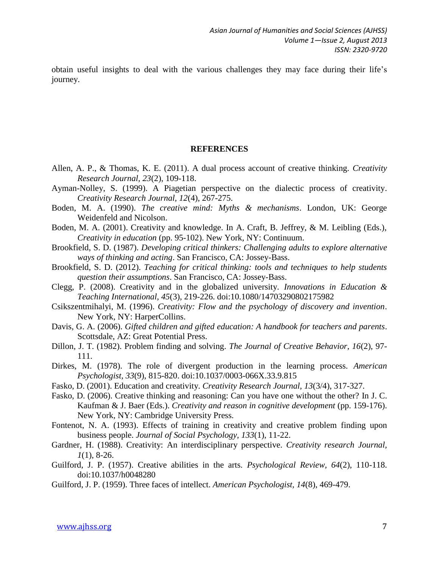obtain useful insights to deal with the various challenges they may face during their life's journey.

#### **REFERENCES**

- Allen, A. P., & Thomas, K. E. (2011). A dual process account of creative thinking. *Creativity Research Journal, 23*(2), 109-118.
- Ayman-Nolley, S. (1999). A Piagetian perspective on the dialectic process of creativity. *Creativity Research Journal, 12*(4), 267-275.
- Boden, M. A. (1990). *The creative mind: Myths & mechanisms*. London, UK: George Weidenfeld and Nicolson.
- Boden, M. A. (2001). Creativity and knowledge. In A. Craft, B. Jeffrey, & M. Leibling (Eds.), *Creativity in education* (pp. 95-102). New York, NY: Continuum.
- Brookfield, S. D. (1987). *Developing critical thinkers: Challenging adults to explore alternative ways of thinking and acting*. San Francisco, CA: Jossey-Bass.
- Brookfield, S. D. (2012). *Teaching for critical thinking: tools and techniques to help students question their assumptions*. San Francisco, CA: Jossey-Bass.
- Clegg, P. (2008). Creativity and in the globalized university. *Innovations in Education & Teaching International, 45*(3), 219-226. doi:10.1080/14703290802175982
- Csikszentmihalyi, M. (1996). *Creativity: Flow and the psychology of discovery and invention*. New York, NY: HarperCollins.
- Davis, G. A. (2006). *Gifted children and gifted education: A handbook for teachers and parents*. Scottsdale, AZ: Great Potential Press.
- Dillon, J. T. (1982). Problem finding and solving. *The Journal of Creative Behavior, 16*(2), 97- 111.
- Dirkes, M. (1978). The role of divergent production in the learning process. *American Psychologist, 33*(9), 815-820. doi:10.1037/0003-066X.33.9.815
- Fasko, D. (2001). Education and creativity. *Creativity Research Journal, 13*(3/4), 317-327.
- Fasko, D. (2006). Creative thinking and reasoning: Can you have one without the other? In J. C. Kaufman & J. Baer (Eds.). *Creativity and reason in cognitive development* (pp. 159-176). New York, NY: Cambridge University Press.
- Fontenot, N. A. (1993). Effects of training in creativity and creative problem finding upon business people. *Journal of Social Psychology, 133*(1), 11-22.
- Gardner, H. (1988). Creativity: An interdisciplinary perspective. *Creativity research Journal, 1*(1), 8-26.
- Guilford, J. P. (1957). Creative abilities in the arts. *Psychological Review, 64*(2), 110-118. doi:10.1037/h0048280
- Guilford, J. P. (1959). Three faces of intellect. *American Psychologist, 14*(8), 469-479.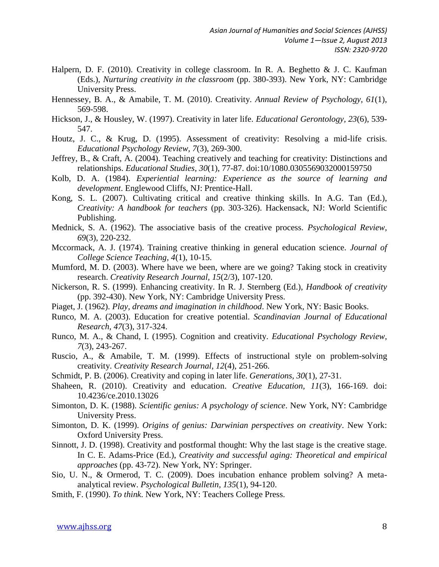- Halpern, D. F. (2010). Creativity in college classroom. In R. A. Beghetto & J. C. Kaufman (Eds.), *Nurturing creativity in the classroom* (pp. 380-393). New York, NY: Cambridge University Press.
- Hennessey, B. A., & Amabile, T. M. (2010). Creativity. *Annual Review of Psychology, 61*(1), 569-598.
- Hickson, J., & Housley, W. (1997). Creativity in later life. *Educational Gerontology, 23*(6), 539- 547.
- Houtz, J. C., & Krug, D. (1995). Assessment of creativity: Resolving a mid-life crisis. *Educational Psychology Review, 7*(3), 269-300.
- Jeffrey, B., & Craft, A. (2004). Teaching creatively and teaching for creativity: Distinctions and relationships. *Educational Studies, 30*(1), 77-87. doi:10/1080.0305569032000159750
- Kolb, D. A. (1984). *Experiential learning: Experience as the source of learning and development*. Englewood Cliffs, NJ: Prentice-Hall.
- Kong, S. L. (2007). Cultivating critical and creative thinking skills. In A.G. Tan (Ed.), *Creativity: A handbook for teachers* (pp. 303-326). Hackensack, NJ: World Scientific Publishing.
- Mednick, S. A. (1962). The associative basis of the creative process. *Psychological Review, 69*(3), 220-232.
- Mccormack, A. J. (1974). Training creative thinking in general education science. *Journal of College Science Teaching, 4*(1), 10-15.
- Mumford, M. D. (2003). Where have we been, where are we going? Taking stock in creativity research. *Creativity Research Journal, 15*(2/3), 107-120.
- Nickerson, R. S. (1999). Enhancing creativity. In R. J. Sternberg (Ed.), *Handbook of creativity* (pp. 392-430). New York, NY: Cambridge University Press.
- Piaget, J. (1962). *Play, dreams and imagination in childhood*. New York, NY: Basic Books.
- Runco, M. A. (2003). Education for creative potential. *Scandinavian Journal of Educational Research, 47*(3), 317-324.
- Runco, M. A., & Chand, I. (1995). Cognition and creativity. *Educational Psychology Review, 7*(3), 243-267.
- Ruscio, A., & Amabile, T. M. (1999). Effects of instructional style on problem-solving creativity. *Creativity Research Journal, 12*(4), 251-266.
- Schmidt, P. B. (2006). Creativity and coping in later life. *Generations, 30*(1), 27-31.
- Shaheen, R. (2010). Creativity and education. *Creative Education, 11*(3), 166-169. doi: 10.4236/ce.2010.13026
- Simonton, D. K. (1988). *Scientific genius: A psychology of science*. New York, NY: Cambridge University Press.
- Simonton, D. K. (1999). *Origins of genius: Darwinian perspectives on creativity*. New York: Oxford University Press.
- Sinnott, J. D. (1998). Creativity and postformal thought: Why the last stage is the creative stage. In C. E. Adams-Price (Ed.), *Creativity and successful aging: Theoretical and empirical approaches* (pp. 43-72). New York, NY: Springer.
- Sio, U. N., & Ormerod, T. C. (2009). Does incubation enhance problem solving? A metaanalytical review. *Psychological Bulletin, 135*(1), 94-120.
- Smith, F. (1990). *To think*. New York, NY: Teachers College Press.